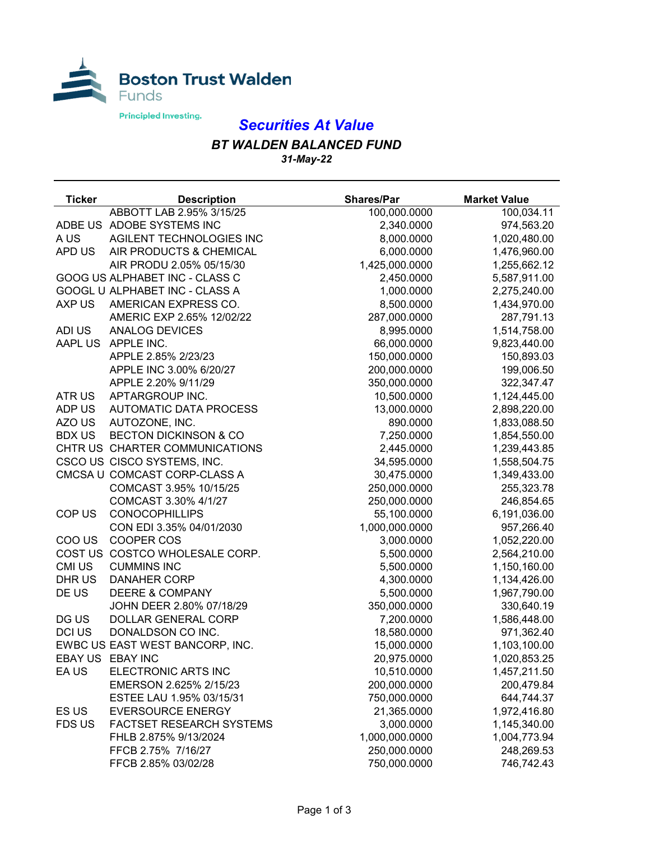

## *Securities At Value*

## *BT WALDEN BALANCED FUND*

*31-May-22*

| <b>Ticker</b>  | <b>Description</b>               | <b>Shares/Par</b> | <b>Market Value</b> |
|----------------|----------------------------------|-------------------|---------------------|
|                | ABBOTT LAB 2.95% 3/15/25         | 100,000.0000      | 100,034.11          |
|                | ADBE US ADOBE SYSTEMS INC        | 2,340.0000        | 974,563.20          |
| A US           | AGILENT TECHNOLOGIES INC         | 8,000.0000        | 1,020,480.00        |
| APD US         | AIR PRODUCTS & CHEMICAL          | 6,000.0000        | 1,476,960.00        |
|                | AIR PRODU 2.05% 05/15/30         | 1,425,000.0000    | 1,255,662.12        |
|                | GOOG US ALPHABET INC - CLASS C   | 2,450.0000        | 5,587,911.00        |
|                | GOOGL U ALPHABET INC - CLASS A   | 1,000.0000        | 2,275,240.00        |
| AXP US         | AMERICAN EXPRESS CO.             | 8,500.0000        | 1,434,970.00        |
|                | AMERIC EXP 2.65% 12/02/22        | 287,000.0000      | 287,791.13          |
| ADI US         | <b>ANALOG DEVICES</b>            | 8,995.0000        | 1,514,758.00        |
| <b>AAPL US</b> | APPLE INC.                       | 66,000.0000       | 9,823,440.00        |
|                | APPLE 2.85% 2/23/23              | 150,000.0000      | 150,893.03          |
|                | APPLE INC 3.00% 6/20/27          | 200,000.0000      | 199,006.50          |
|                | APPLE 2.20% 9/11/29              | 350,000.0000      | 322,347.47          |
| ATR US         | APTARGROUP INC.                  | 10,500.0000       | 1,124,445.00        |
| ADP US         | <b>AUTOMATIC DATA PROCESS</b>    | 13,000.0000       | 2,898,220.00        |
| AZO US         | AUTOZONE, INC.                   | 890.0000          | 1,833,088.50        |
| <b>BDX US</b>  | <b>BECTON DICKINSON &amp; CO</b> | 7,250.0000        | 1,854,550.00        |
|                | CHTR US CHARTER COMMUNICATIONS   | 2,445.0000        | 1,239,443.85        |
|                | CSCO US CISCO SYSTEMS, INC.      | 34,595.0000       | 1,558,504.75        |
|                | CMCSA U COMCAST CORP-CLASS A     | 30,475.0000       | 1,349,433.00        |
|                | COMCAST 3.95% 10/15/25           | 250,000.0000      | 255,323.78          |
|                | COMCAST 3.30% 4/1/27             | 250,000.0000      | 246,854.65          |
| COP US         | <b>CONOCOPHILLIPS</b>            | 55,100.0000       | 6,191,036.00        |
|                | CON EDI 3.35% 04/01/2030         | 1,000,000.0000    | 957,266.40          |
| COO US         | COOPER COS                       | 3,000.0000        | 1,052,220.00        |
|                | COST US COSTCO WHOLESALE CORP.   | 5,500.0000        | 2,564,210.00        |
| CMI US         | <b>CUMMINS INC</b>               | 5,500.0000        | 1,150,160.00        |
| DHR US         | <b>DANAHER CORP</b>              | 4,300.0000        | 1,134,426.00        |
| DE US          | <b>DEERE &amp; COMPANY</b>       | 5,500.0000        | 1,967,790.00        |
|                | JOHN DEER 2.80% 07/18/29         | 350,000.0000      | 330,640.19          |
| DG US          | DOLLAR GENERAL CORP              | 7,200.0000        | 1,586,448.00        |
| <b>DCI US</b>  | DONALDSON CO INC.                | 18,580.0000       | 971,362.40          |
|                | EWBC US EAST WEST BANCORP, INC.  | 15,000.0000       | 1,103,100.00        |
|                | EBAY US EBAY INC                 | 20,975.0000       | 1,020,853.25        |
| EA US          | ELECTRONIC ARTS INC              | 10,510.0000       | 1,457,211.50        |
|                | EMERSON 2.625% 2/15/23           | 200,000.0000      | 200,479.84          |
|                | ESTEE LAU 1.95% 03/15/31         | 750,000.0000      | 644,744.37          |
| ES US          | <b>EVERSOURCE ENERGY</b>         | 21,365.0000       | 1,972,416.80        |
| <b>FDS US</b>  | FACTSET RESEARCH SYSTEMS         | 3,000.0000        | 1,145,340.00        |
|                | FHLB 2.875% 9/13/2024            | 1,000,000.0000    | 1,004,773.94        |
|                | FFCB 2.75% 7/16/27               | 250,000.0000      | 248,269.53          |
|                | FFCB 2.85% 03/02/28              | 750,000.0000      | 746,742.43          |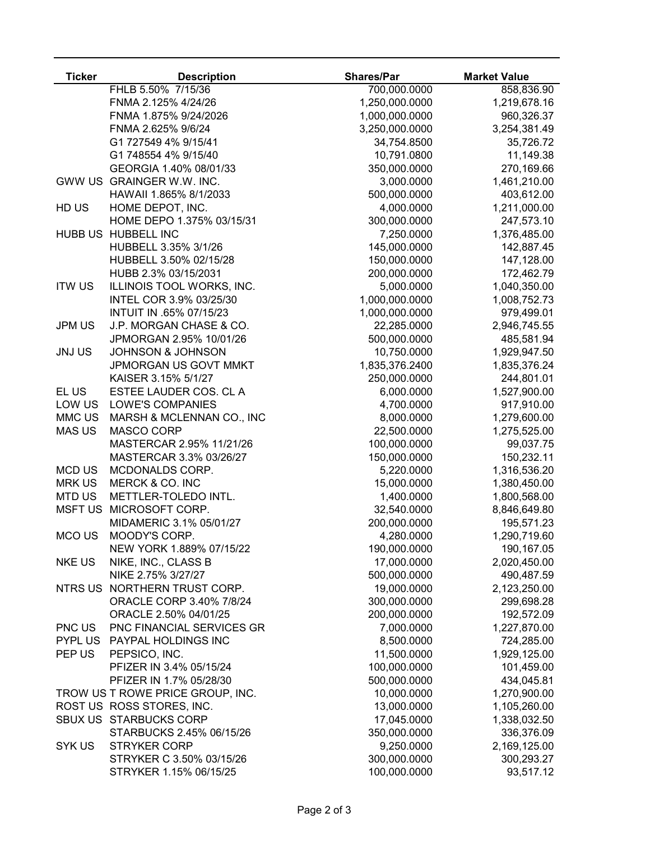| <b>Ticker</b>  | <b>Description</b>               | <b>Shares/Par</b> | <b>Market Value</b> |
|----------------|----------------------------------|-------------------|---------------------|
|                | FHLB 5.50% 7/15/36               | 700,000.0000      | 858,836.90          |
|                | FNMA 2.125% 4/24/26              | 1,250,000.0000    | 1,219,678.16        |
|                | FNMA 1.875% 9/24/2026            | 1,000,000.0000    | 960,326.37          |
|                | FNMA 2.625% 9/6/24               | 3,250,000.0000    | 3,254,381.49        |
|                | G1 727549 4% 9/15/41             | 34,754.8500       | 35,726.72           |
|                | G1 748554 4% 9/15/40             | 10,791.0800       | 11,149.38           |
|                | GEORGIA 1.40% 08/01/33           | 350,000.0000      | 270,169.66          |
|                | GWW US GRAINGER W.W. INC.        | 3,000.0000        | 1,461,210.00        |
|                | HAWAII 1.865% 8/1/2033           | 500,000.0000      | 403,612.00          |
| HD US          | HOME DEPOT, INC.                 | 4,000.0000        | 1,211,000.00        |
|                | HOME DEPO 1.375% 03/15/31        | 300,000.0000      | 247,573.10          |
| <b>HUBB US</b> | <b>HUBBELL INC</b>               | 7,250.0000        | 1,376,485.00        |
|                | HUBBELL 3.35% 3/1/26             | 145,000.0000      | 142,887.45          |
|                | HUBBELL 3.50% 02/15/28           | 150,000.0000      | 147,128.00          |
|                | HUBB 2.3% 03/15/2031             | 200,000.0000      | 172,462.79          |
| <b>ITW US</b>  | ILLINOIS TOOL WORKS, INC.        | 5,000.0000        | 1,040,350.00        |
|                | INTEL COR 3.9% 03/25/30          | 1,000,000.0000    | 1,008,752.73        |
|                | INTUIT IN .65% 07/15/23          | 1,000,000.0000    | 979,499.01          |
| <b>JPM US</b>  | J.P. MORGAN CHASE & CO.          | 22,285.0000       | 2,946,745.55        |
|                | JPMORGAN 2.95% 10/01/26          | 500,000.0000      | 485,581.94          |
| <b>JNJ US</b>  | <b>JOHNSON &amp; JOHNSON</b>     | 10,750.0000       | 1,929,947.50        |
|                | JPMORGAN US GOVT MMKT            | 1,835,376.2400    | 1,835,376.24        |
|                | KAISER 3.15% 5/1/27              | 250,000.0000      | 244,801.01          |
| EL US          | ESTEE LAUDER COS. CL A           | 6,000.0000        | 1,527,900.00        |
| LOW US         | <b>LOWE'S COMPANIES</b>          | 4,700.0000        | 917,910.00          |
| MMC US         | MARSH & MCLENNAN CO., INC        | 8,000.0000        | 1,279,600.00        |
| <b>MAS US</b>  | <b>MASCO CORP</b>                | 22,500.0000       | 1,275,525.00        |
|                | MASTERCAR 2.95% 11/21/26         | 100,000.0000      | 99,037.75           |
|                | MASTERCAR 3.3% 03/26/27          | 150,000.0000      | 150,232.11          |
| <b>MCD US</b>  | MCDONALDS CORP.                  | 5,220.0000        | 1,316,536.20        |
| <b>MRK US</b>  | MERCK & CO. INC                  | 15,000.0000       | 1,380,450.00        |
| <b>MTD US</b>  | METTLER-TOLEDO INTL.             | 1,400.0000        | 1,800,568.00        |
| <b>MSFT US</b> | MICROSOFT CORP.                  | 32,540.0000       | 8,846,649.80        |
|                | MIDAMERIC 3.1% 05/01/27          | 200,000.0000      | 195,571.23          |
| <b>MCOUS</b>   | MOODY'S CORP.                    | 4,280.0000        | 1,290,719.60        |
|                | NEW YORK 1.889% 07/15/22         | 190,000.0000      | 190,167.05          |
| <b>NKE US</b>  | NIKE, INC., CLASS B              | 17,000.0000       | 2,020,450.00        |
|                | NIKE 2.75% 3/27/27               | 500,000.0000      | 490,487.59          |
|                | NTRS US NORTHERN TRUST CORP.     | 19,000.0000       | 2,123,250.00        |
|                | ORACLE CORP 3.40% 7/8/24         | 300,000.0000      | 299,698.28          |
|                | ORACLE 2.50% 04/01/25            | 200,000.0000      | 192,572.09          |
| PNC US         | PNC FINANCIAL SERVICES GR        | 7,000.0000        | 1,227,870.00        |
| <b>PYPL US</b> | PAYPAL HOLDINGS INC              | 8,500.0000        | 724,285.00          |
| PEP US         | PEPSICO, INC.                    | 11,500.0000       | 1,929,125.00        |
|                | PFIZER IN 3.4% 05/15/24          | 100,000.0000      | 101,459.00          |
|                | PFIZER IN 1.7% 05/28/30          | 500,000.0000      | 434,045.81          |
|                | TROW US T ROWE PRICE GROUP, INC. | 10,000.0000       | 1,270,900.00        |
|                | ROST US ROSS STORES, INC.        | 13,000.0000       | 1,105,260.00        |
|                | SBUX US STARBUCKS CORP           | 17,045.0000       | 1,338,032.50        |
|                | STARBUCKS 2.45% 06/15/26         | 350,000.0000      | 336,376.09          |
| SYK US         | <b>STRYKER CORP</b>              | 9,250.0000        | 2,169,125.00        |
|                | STRYKER C 3.50% 03/15/26         | 300,000.0000      | 300,293.27          |
|                | STRYKER 1.15% 06/15/25           | 100,000.0000      | 93,517.12           |